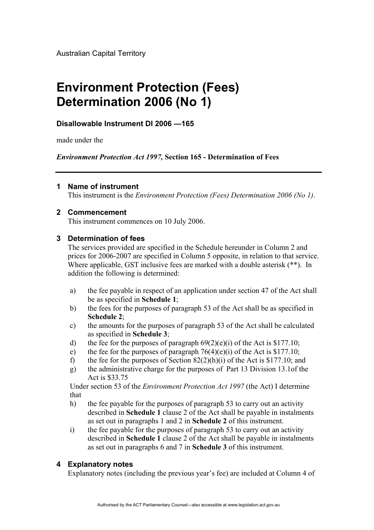Australian Capital Territory

# **Environment Protection (Fees) Determination 2006 (No 1)**

## **Disallowable Instrument DI 2006 —165**

made under the

*Environment Protection Act 1997,* **Section 165 - Determination of Fees** 

#### **1 Name of instrument**

This instrument is the *Environment Protection (Fees) Determination 2006 (No 1)*.

#### **2 Commencement**

This instrument commences on 10 July 2006.

#### **3 Determination of fees**

The services provided are specified in the Schedule hereunder in Column 2 and prices for 2006-2007 are specified in Column 5 opposite, in relation to that service. Where applicable, GST inclusive fees are marked with a double asterisk (\*\*). In addition the following is determined:

- a) the fee payable in respect of an application under section 47 of the Act shall be as specified in **Schedule 1**;
- b) the fees for the purposes of paragraph 53 of the Act shall be as specified in **Schedule 2**;
- c) the amounts for the purposes of paragraph 53 of the Act shall be calculated as specified in **Schedule 3**;
- d) the fee for the purposes of paragraph  $69(2)(e)(i)$  of the Act is \$177.10;
- e) the fee for the purposes of paragraph  $76(4)(e)(i)$  of the Act is \$177.10;
- f) the fee for the purposes of Section  $82(2)(h)(i)$  of the Act is \$177.10; and
- g) the administrative charge for the purposes of Part 13 Division 13.1of the Act is \$33.75

Under section 53 of the *Environment Protection Act 1997* (the Act) I determine that

- h) the fee payable for the purposes of paragraph 53 to carry out an activity described in **Schedule 1** clause 2 of the Act shall be payable in instalments as set out in paragraphs 1 and 2 in **Schedule 2** of this instrument.
- i) the fee payable for the purposes of paragraph 53 to carry out an activity described in **Schedule 1** clause 2 of the Act shall be payable in instalments as set out in paragraphs 6 and 7 in **Schedule 3** of this instrument.

#### **4 Explanatory notes**

Explanatory notes (including the previous year's fee) are included at Column 4 of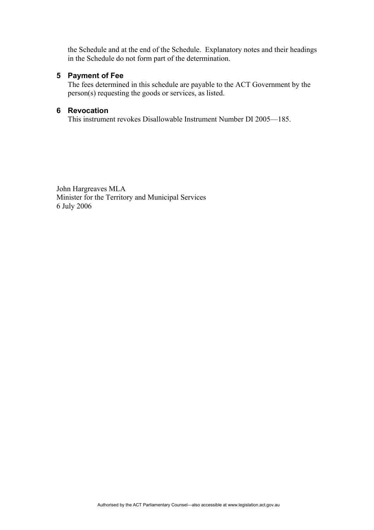the Schedule and at the end of the Schedule. Explanatory notes and their headings in the Schedule do not form part of the determination.

#### **5 Payment of Fee**

The fees determined in this schedule are payable to the ACT Government by the person(s) requesting the goods or services, as listed.

#### **6 Revocation**

This instrument revokes Disallowable Instrument Number DI 2005—185.

John Hargreaves MLA Minister for the Territory and Municipal Services 6 July 2006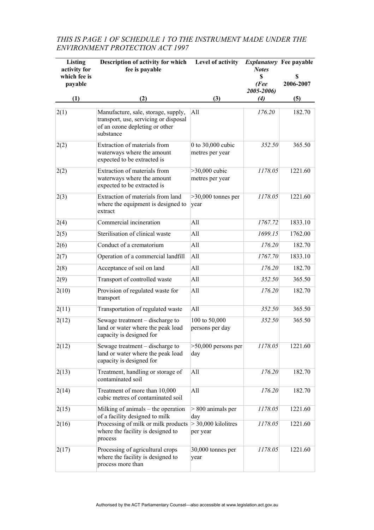## *THIS IS PAGE 1 OF SCHEDULE 1 TO THE INSTRUMENT MADE UNDER THE ENVIRONMENT PROTECTION ACT 1997*

| <b>Listing</b><br>activity for<br>which fee is<br>payable | Description of activity for which<br>fee is payable                                                                         | Level of activity                      | <b>Notes</b><br>\$<br>(Fee<br>2005-2006) | <i>Explanatory</i> Fee payable<br>S<br>2006-2007 |
|-----------------------------------------------------------|-----------------------------------------------------------------------------------------------------------------------------|----------------------------------------|------------------------------------------|--------------------------------------------------|
| (1)                                                       | (2)                                                                                                                         | (3)                                    | (4)                                      | (5)                                              |
| 2(1)                                                      | Manufacture, sale, storage, supply,<br>transport, use, servicing or disposal<br>of an ozone depleting or other<br>substance | A11                                    | 176.20                                   | 182.70                                           |
| 2(2)                                                      | Extraction of materials from<br>waterways where the amount<br>expected to be extracted is                                   | 0 to $30,000$ cubic<br>metres per year | 352.50                                   | 365.50                                           |
| 2(2)                                                      | Extraction of materials from<br>waterways where the amount<br>expected to be extracted is                                   | $>30,000$ cubic<br>metres per year     | 1178.05                                  | 1221.60                                          |
| 2(3)                                                      | Extraction of materials from land<br>where the equipment is designed to<br>extract                                          | $>30,000$ tonnes per<br>year           | 1178.05                                  | 1221.60                                          |
| 2(4)                                                      | Commercial incineration                                                                                                     | All                                    | 1767.72                                  | 1833.10                                          |
| 2(5)                                                      | Sterilisation of clinical waste                                                                                             | A11                                    | 1699.15                                  | 1762.00                                          |
| 2(6)                                                      | Conduct of a crematorium                                                                                                    | All                                    | 176.20                                   | 182.70                                           |
| 2(7)                                                      | Operation of a commercial landfill                                                                                          | All                                    | 1767.70                                  | 1833.10                                          |
| 2(8)                                                      | Acceptance of soil on land                                                                                                  | All                                    | 176.20                                   | 182.70                                           |
| 2(9)                                                      | Transport of controlled waste                                                                                               | All                                    | 352.50                                   | 365.50                                           |
| 2(10)                                                     | Provision of regulated waste for<br>transport                                                                               | All                                    | 176.20                                   | 182.70                                           |
| 2(11)                                                     | Transportation of regulated waste                                                                                           | All                                    | 352.50                                   | 365.50                                           |
| 2(12)                                                     | Sewage treatment – discharge to<br>land or water where the peak load<br>capacity is designed for                            | 100 to 50,000<br>persons per day       | 352.50                                   | 365.50                                           |
| 2(12)                                                     | Sewage treatment – discharge to<br>land or water where the peak load<br>capacity is designed for                            | $>50,000$ persons per<br>day           | 1178.05                                  | 1221.60                                          |
| 2(13)                                                     | Treatment, handling or storage of<br>contaminated soil                                                                      | All                                    | 176.20                                   | 182.70                                           |
| 2(14)                                                     | Treatment of more than 10,000<br>cubic metres of contaminated soil                                                          | All                                    | 176.20                                   | 182.70                                           |
| 2(15)                                                     | Milking of animals – the operation<br>of a facility designed to milk                                                        | $> 800$ animals per<br>day             | 1178.05                                  | 1221.60                                          |
| 2(16)                                                     | Processing of milk or milk products<br>where the facility is designed to<br>process                                         | $>$ 30,000 kilolitres<br>per year      | 1178.05                                  | 1221.60                                          |
| 2(17)                                                     | Processing of agricultural crops<br>where the facility is designed to<br>process more than                                  | 30,000 tonnes per<br>year              | 1178.05                                  | 1221.60                                          |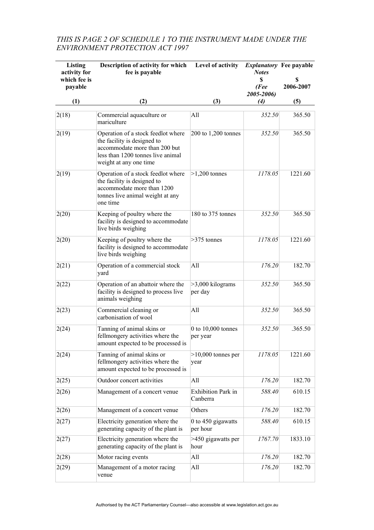## *THIS IS PAGE 2 OF SCHEDULE 1 TO THE INSTRUMENT MADE UNDER THE ENVIRONMENT PROTECTION ACT 1997*

| Listing<br>activity for<br>which fee is<br>payable | Description of activity for which<br>fee is payable                                                                                                               | Level of activity                     | <b>Notes</b><br>\$<br>(Fee      | <i>Explanatory</i> Fee payable<br>S<br>2006-2007 |
|----------------------------------------------------|-------------------------------------------------------------------------------------------------------------------------------------------------------------------|---------------------------------------|---------------------------------|--------------------------------------------------|
| (1)                                                | (2)                                                                                                                                                               | (3)                                   | 2005-2006)<br>$\left( 4\right)$ | (5)                                              |
|                                                    |                                                                                                                                                                   |                                       |                                 |                                                  |
| 2(18)                                              | Commercial aquaculture or<br>mariculture                                                                                                                          | All                                   | 352.50                          | 365.50                                           |
| 2(19)                                              | Operation of a stock feedlot where<br>the facility is designed to<br>accommodate more than 200 but<br>less than 1200 tonnes live animal<br>weight at any one time | $200$ to $1,200$ tonnes               | 352.50                          | 365.50                                           |
| 2(19)                                              | Operation of a stock feedlot where<br>the facility is designed to<br>accommodate more than 1200<br>tonnes live animal weight at any<br>one time                   | $>1,200$ tonnes                       | 1178.05                         | 1221.60                                          |
| 2(20)                                              | Keeping of poultry where the<br>facility is designed to accommodate<br>live birds weighing                                                                        | 180 to 375 tonnes                     | 352.50                          | 365.50                                           |
| 2(20)                                              | Keeping of poultry where the<br>facility is designed to accommodate<br>live birds weighing                                                                        | $>375$ tonnes                         | 1178.05                         | 1221.60                                          |
| 2(21)                                              | Operation of a commercial stock<br>yard                                                                                                                           | All                                   | 176.20                          | 182.70                                           |
| 2(22)                                              | Operation of an abattoir where the<br>facility is designed to process live<br>animals weighing                                                                    | $>3,000$ kilograms<br>per day         | 352.50                          | 365.50                                           |
| 2(23)                                              | Commercial cleaning or<br>carbonisation of wool                                                                                                                   | All                                   | 352.50                          | 365.50                                           |
| 2(24)                                              | Tanning of animal skins or<br>fellmongery activities where the<br>amount expected to be processed is                                                              | $0$ to $10,000$ tonnes<br>per year    | 352.50                          | .365.50                                          |
| 2(24)                                              | Tanning of animal skins or<br>fellmongery activities where the<br>amount expected to be processed is                                                              | $>10,000$ tonnes per<br>year          | 1178.05                         | 1221.60                                          |
| 2(25)                                              | Outdoor concert activities                                                                                                                                        | All                                   | 176.20                          | 182.70                                           |
| 2(26)                                              | Management of a concert venue                                                                                                                                     | <b>Exhibition Park in</b><br>Canberra | 588.40                          | 610.15                                           |
| 2(26)                                              | Management of a concert venue                                                                                                                                     | Others                                | 176.20                          | 182.70                                           |
| 2(27)                                              | Electricity generation where the<br>generating capacity of the plant is                                                                                           | 0 to 450 gigawatts<br>per hour        | 588.40                          | 610.15                                           |
| 2(27)                                              | Electricity generation where the<br>generating capacity of the plant is                                                                                           | >450 gigawatts per<br>hour            | 1767.70                         | 1833.10                                          |
| 2(28)                                              | Motor racing events                                                                                                                                               | All                                   | 176.20                          | 182.70                                           |
| 2(29)                                              | Management of a motor racing<br>venue                                                                                                                             | All                                   | 176.20                          | 182.70                                           |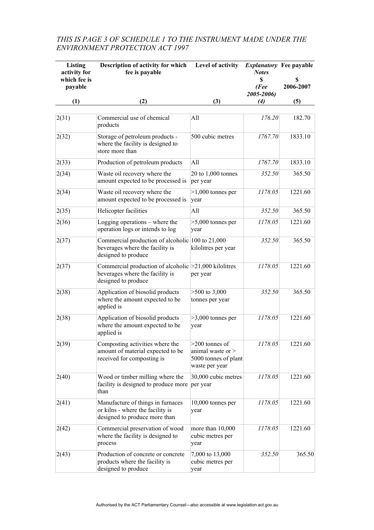## *THIS IS PAGE 3 OF SCHEDULE 1 TO THE INSTRUMENT MADE UNDER THE ENVIRONMENT PROTECTION ACT 1997*

| Listing<br>activity for<br>which fee is<br>payable | Description of activity for which<br>fee is payable                                                                   | Level of activity                                                                 | <i>Explanatory</i> Fee payable<br><b>Notes</b><br>S<br>(Fee<br>2005-2006) | S<br>2006-2007 |
|----------------------------------------------------|-----------------------------------------------------------------------------------------------------------------------|-----------------------------------------------------------------------------------|---------------------------------------------------------------------------|----------------|
| (1)                                                | (2)                                                                                                                   | (3)                                                                               | (4)                                                                       | (5)            |
| 2(31)                                              | Commercial use of chemical<br>products                                                                                | All                                                                               | 176.20                                                                    | 182.70         |
| 2(32)                                              | Storage of petroleum products -<br>where the facility is designed to<br>store more than                               | 500 cubic metres                                                                  | 1767.70                                                                   | 1833.10        |
| 2(33)                                              | Production of petroleum products                                                                                      | All                                                                               | 1767.70                                                                   | 1833.10        |
| 2(34)                                              | Waste oil recovery where the<br>amount expected to be processed is                                                    | $20$ to $1,000$ tonnes<br>per year                                                | 352.50                                                                    | 365.50         |
| 2(34)                                              | Waste oil recovery where the<br>amount expected to be processed is                                                    | $>1,000$ tonnes per<br>year                                                       | 1178.05                                                                   | 1221.60        |
| 2(35)                                              | Helicopter facilities                                                                                                 | All                                                                               | 352.50                                                                    | 365.50         |
| 2(36)                                              | Logging operations – where the<br>operation logs or intends to log                                                    | $>5,000$ tonnes per<br>year                                                       | 1178.05                                                                   | 1221.60        |
| 2(37)                                              | Commercial production of alcoholic 100 to 21,000<br>beverages where the facility is<br>designed to produce            | kilolitres per year                                                               | 352.50                                                                    | 365.50         |
| 2(37)                                              | Commercial production of alcoholic $\geq$ 21,000 kilolitres<br>beverages where the facility is<br>designed to produce | per year                                                                          | 1178.05                                                                   | 1221.60        |
| 2(38)                                              | Application of biosolid products<br>where the amount expected to be<br>applied is                                     | $>500$ to 3,000<br>tonnes per year                                                | 352.50                                                                    | 365.50         |
| 2(38)                                              | Application of biosolid products<br>where the amount expected to be<br>applied is                                     | $>3,000$ tonnes per<br>year                                                       | 1178.05                                                                   | 1221.60        |
| 2(39)                                              | Composting activities where the<br>amount of material expected to be<br>received for composting is                    | $>200$ tonnes of<br>animal waste or $>$<br>5000 tonnes of plant<br>waste per year | 1178.05                                                                   | 1221.60        |
| 2(40)                                              | Wood or timber milling where the<br>facility is designed to produce more per year<br>than                             | 30,000 cubic metres                                                               | 1178.05                                                                   | 1221.60        |
| 2(41)                                              | Manufacture of things in furnaces<br>or kilns - where the facility is<br>designed to produce more than                | 10,000 tonnes per<br>year                                                         | 1178.05                                                                   | 1221.60        |
| 2(42)                                              | Commercial preservation of wood<br>where the facility is designed to<br>process                                       | more than 10,000<br>cubic metres per<br>year                                      | 1178.05                                                                   | 1221.60        |
| 2(43)                                              | Production of concrete or concrete<br>products where the facility is<br>designed to produce                           | 7,000 to 13,000<br>cubic metres per<br>year                                       | 352.50                                                                    | 365.50         |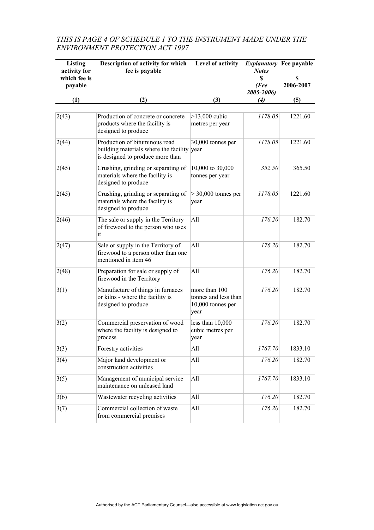## *THIS IS PAGE 4 OF SCHEDULE 1 TO THE INSTRUMENT MADE UNDER THE ENVIRONMENT PROTECTION ACT 1997*

| Listing<br>activity for<br>which fee is<br>payable | Description of activity for which<br>fee is payable                                                             | Level of activity                                                  | <b>Notes</b><br>\$<br>(Fee<br>2005-2006) | <b>Explanatory</b> Fee payable<br>\$<br>2006-2007 |
|----------------------------------------------------|-----------------------------------------------------------------------------------------------------------------|--------------------------------------------------------------------|------------------------------------------|---------------------------------------------------|
| (1)                                                | (2)                                                                                                             | (3)                                                                | $\left( 4\right)$                        | (5)                                               |
| 2(43)                                              | Production of concrete or concrete<br>products where the facility is<br>designed to produce                     | $>13,000$ cubic<br>metres per year                                 | 1178.05                                  | 1221.60                                           |
| 2(44)                                              | Production of bituminous road<br>building materials where the facility year<br>is designed to produce more than | 30,000 tonnes per                                                  | 1178.05                                  | 1221.60                                           |
| 2(45)                                              | Crushing, grinding or separating of<br>materials where the facility is<br>designed to produce                   | 10,000 to 30,000<br>tonnes per year                                | 352.50                                   | 365.50                                            |
| 2(45)                                              | Crushing, grinding or separating of<br>materials where the facility is<br>designed to produce                   | $>$ 30,000 tonnes per<br>year                                      | 1178.05                                  | 1221.60                                           |
| 2(46)                                              | The sale or supply in the Territory<br>of firewood to the person who uses<br>it                                 | All                                                                | 176.20                                   | 182.70                                            |
| 2(47)                                              | Sale or supply in the Territory of<br>firewood to a person other than one<br>mentioned in item 46               | All                                                                | 176.20                                   | 182.70                                            |
| 2(48)                                              | Preparation for sale or supply of<br>firewood in the Territory                                                  | All                                                                | 176.20                                   | 182.70                                            |
| 3(1)                                               | Manufacture of things in furnaces<br>or kilns - where the facility is<br>designed to produce                    | more than 100<br>tonnes and less than<br>10,000 tonnes per<br>year | 176.20                                   | 182.70                                            |
| 3(2)                                               | Commercial preservation of wood<br>where the facility is designed to<br>process                                 | less than 10,000<br>cubic metres per<br>year                       | 176.20                                   | 182.70                                            |
| 3(3)                                               | Forestry activities                                                                                             | All                                                                | 1767.70                                  | 1833.10                                           |
| 3(4)                                               | Major land development or<br>construction activities                                                            | All                                                                | 176.20                                   | 182.70                                            |
| 3(5)                                               | Management of municipal service<br>maintenance on unleased land                                                 | All                                                                | 1767.70                                  | 1833.10                                           |
| 3(6)                                               | Wastewater recycling activities                                                                                 | All                                                                | 176.20                                   | 182.70                                            |
| 3(7)                                               | Commercial collection of waste<br>from commercial premises                                                      | All                                                                | 176.20                                   | 182.70                                            |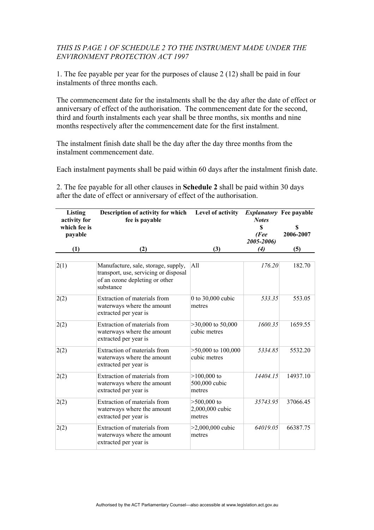#### *THIS IS PAGE 1 OF SCHEDULE 2 TO THE INSTRUMENT MADE UNDER THE ENVIRONMENT PROTECTION ACT 1997*

1. The fee payable per year for the purposes of clause 2 (12) shall be paid in four instalments of three months each.

The commencement date for the instalments shall be the day after the date of effect or anniversary of effect of the authorisation. The commencement date for the second, third and fourth instalments each year shall be three months, six months and nine months respectively after the commencement date for the first instalment.

The instalment finish date shall be the day after the day three months from the instalment commencement date.

Each instalment payments shall be paid within 60 days after the instalment finish date.

2. The fee payable for all other clauses in **Schedule 2** shall be paid within 30 days after the date of effect or anniversary of effect of the authorisation.

| Listing                      | Description of activity for which                                                                                           | Level of activity                          | <i>Explanatory</i> Fee payable |                |
|------------------------------|-----------------------------------------------------------------------------------------------------------------------------|--------------------------------------------|--------------------------------|----------------|
| activity for<br>which fee is | fee is payable                                                                                                              |                                            | <b>Notes</b><br>\$             | S<br>2006-2007 |
| payable                      |                                                                                                                             |                                            | (Fee<br>2005-2006)             |                |
| (1)                          | (2)                                                                                                                         | (3)                                        | (4)                            | (5)            |
| 2(1)                         | Manufacture, sale, storage, supply,<br>transport, use, servicing or disposal<br>of an ozone depleting or other<br>substance | All                                        | 176.20                         | 182.70         |
| 2(2)                         | Extraction of materials from<br>waterways where the amount<br>extracted per year is                                         | 0 to 30,000 cubic<br>metres                | 533.35                         | 553.05         |
| 2(2)                         | Extraction of materials from<br>waterways where the amount<br>extracted per year is                                         | $>30,000$ to 50,000<br>cubic metres        | 1600.35                        | 1659.55        |
| 2(2)                         | Extraction of materials from<br>waterways where the amount<br>extracted per year is                                         | $>50,000$ to $100,000$<br>cubic metres     | 5334.85                        | 5532.20        |
| 2(2)                         | Extraction of materials from<br>waterways where the amount<br>extracted per year is                                         | $>100,000$ to<br>500,000 cubic<br>metres   | 14404.15                       | 14937.10       |
| 2(2)                         | Extraction of materials from<br>waterways where the amount<br>extracted per year is                                         | $>500,000$ to<br>2,000,000 cubic<br>metres | 35743.95                       | 37066.45       |
| 2(2)                         | Extraction of materials from<br>waterways where the amount<br>extracted per year is                                         | $>2,000,000$ cubic<br>metres               | 64019.05                       | 66387.75       |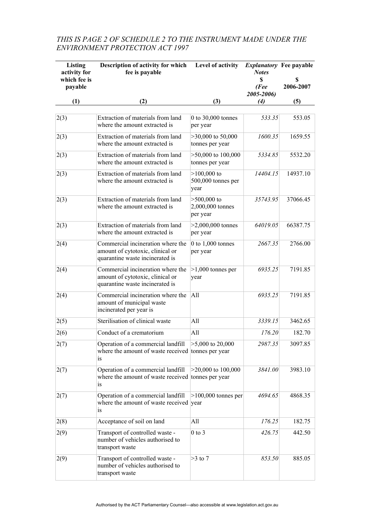## *THIS IS PAGE 2 OF SCHEDULE 2 TO THE INSTRUMENT MADE UNDER THE ENVIRONMENT PROTECTION ACT 1997*

| Listing<br>activity for<br>which fee is<br>payable | Description of activity for which<br>fee is payable                                                      | Level of activity                             | <i>Explanatory</i> Fee payable<br><b>Notes</b><br>\$<br>(Fee<br>2005-2006) | S<br>2006-2007 |
|----------------------------------------------------|----------------------------------------------------------------------------------------------------------|-----------------------------------------------|----------------------------------------------------------------------------|----------------|
| (1)                                                | (2)                                                                                                      | (3)                                           | (4)                                                                        | (5)            |
| 2(3)                                               | Extraction of materials from land<br>where the amount extracted is                                       | 0 to 30,000 tonnes<br>per year                | 533.35                                                                     | 553.05         |
| 2(3)                                               | Extraction of materials from land<br>where the amount extracted is                                       | $>30,000$ to 50,000<br>tonnes per year        | 1600.35                                                                    | 1659.55        |
| 2(3)                                               | Extraction of materials from land<br>where the amount extracted is                                       | $>50,000$ to $100,000$<br>tonnes per year     | 5334.85                                                                    | 5532.20        |
| 2(3)                                               | Extraction of materials from land<br>where the amount extracted is                                       | $>100,000$ to<br>500,000 tonnes per<br>year   | 14404.15                                                                   | 14937.10       |
| 2(3)                                               | Extraction of materials from land<br>where the amount extracted is                                       | $>500,000$ to<br>2,000,000 tonnes<br>per year | 35743.95                                                                   | 37066.45       |
| 2(3)                                               | Extraction of materials from land<br>where the amount extracted is                                       | $>2,000,000$ tonnes<br>per year               | 64019.05                                                                   | 66387.75       |
| 2(4)                                               | Commercial incineration where the<br>amount of cytotoxic, clinical or<br>quarantine waste incinerated is | $0$ to $1,000$ tonnes<br>per year             | 2667.35                                                                    | 2766.00        |
| 2(4)                                               | Commercial incineration where the<br>amount of cytotoxic, clinical or<br>quarantine waste incinerated is | $>1,000$ tonnes per<br>year                   | 6935.25                                                                    | 7191.85        |
| 2(4)                                               | Commercial incineration where the<br>amount of municipal waste<br>incinerated per year is                | All                                           | 6935.25                                                                    | 7191.85        |
| 2(5)                                               | Sterilisation of clinical waste                                                                          | All                                           | 3339.15                                                                    | 3462.65        |
| 2(6)                                               | Conduct of a crematorium                                                                                 | All                                           | 176.20                                                                     | 182.70         |
| 2(7)                                               | Operation of a commercial landfill<br>where the amount of waste received tonnes per year<br>is           | $>5,000$ to 20,000                            | 2987.35                                                                    | 3097.85        |
| 2(7)                                               | Operation of a commercial landfill<br>where the amount of waste received tonnes per year<br><i>is</i>    | $>20,000$ to $100,000$                        | 3841.00                                                                    | 3983.10        |
| 2(7)                                               | Operation of a commercial landfill<br>where the amount of waste received year<br>is.                     | $>100,000$ tonnes per                         | 4694.65                                                                    | 4868.35        |
| 2(8)                                               | Acceptance of soil on land                                                                               | All                                           | 176.25                                                                     | 182.75         |
| 2(9)                                               | Transport of controlled waste -<br>number of vehicles authorised to<br>transport waste                   | $0$ to $3$                                    | 426.75                                                                     | 442.50         |
| 2(9)                                               | Transport of controlled waste -<br>number of vehicles authorised to<br>transport waste                   | $>3$ to 7                                     | 853.50                                                                     | 885.05         |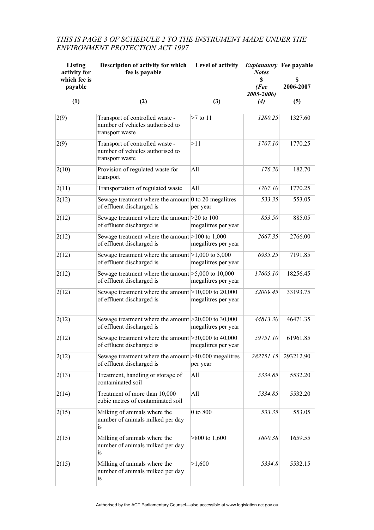## *THIS IS PAGE 3 OF SCHEDULE 2 TO THE INSTRUMENT MADE UNDER THE ENVIRONMENT PROTECTION ACT 1997*

| Listing<br>activity for<br>which fee is<br>payable | Description of activity for which<br>fee is payable                                       | Level of activity   | <b>Notes</b><br>\$<br>(Fee | <i>Explanatory</i> Fee payable<br>S<br>2006-2007 |
|----------------------------------------------------|-------------------------------------------------------------------------------------------|---------------------|----------------------------|--------------------------------------------------|
| (1)                                                | (2)                                                                                       | (3)                 | 2005-2006)<br>(4)          | (5)                                              |
| 2(9)                                               | Transport of controlled waste -<br>number of vehicles authorised to<br>transport waste    | $>7$ to 11          | 1280.25                    | 1327.60                                          |
| 2(9)                                               | Transport of controlled waste -<br>number of vehicles authorised to<br>transport waste    | >11                 | 1707.10                    | 1770.25                                          |
| 2(10)                                              | Provision of regulated waste for<br>transport                                             | All                 | 176.20                     | 182.70                                           |
| 2(11)                                              | Transportation of regulated waste                                                         | All                 | 1707.10                    | 1770.25                                          |
| 2(12)                                              | Sewage treatment where the amount $\vert$ 0 to 20 megalitres<br>of effluent discharged is | per year            | 533.35                     | 553.05                                           |
| 2(12)                                              | Sewage treatment where the amount $>20$ to 100<br>of effluent discharged is               | megalitres per year | 853.50                     | 885.05                                           |
| 2(12)                                              | Sewage treatment where the amount $>100$ to 1,000<br>of effluent discharged is            | megalitres per year | 2667.35                    | 2766.00                                          |
| 2(12)                                              | Sewage treatment where the amount $ >1,000$ to 5,000<br>of effluent discharged is         | megalitres per year | 6935.25                    | 7191.85                                          |
| 2(12)                                              | Sewage treatment where the amount $\geq 5,000$ to 10,000<br>of effluent discharged is     | megalitres per year | 17605.10                   | 18256.45                                         |
| 2(12)                                              | Sewage treatment where the amount $>10,000$ to 20,000<br>of effluent discharged is        | megalitres per year | 32009.45                   | 33193.75                                         |
| 2(12)                                              | Sewage treatment where the amount $\geq$ 20,000 to 30,000<br>of effluent discharged is    | megalitres per year | 44813.30                   | 46471.35                                         |
| 2(12)                                              | Sewage treatment where the amount $\geq 30,000$ to 40,000<br>of effluent discharged is    | megalitres per year | 59751.10                   | 61961.85                                         |
| 2(12)                                              | Sewage treatment where the amount $\geq 40,000$ megalitres<br>of effluent discharged is   | per year            | 282751.15                  | 293212.90                                        |
| 2(13)                                              | Treatment, handling or storage of<br>contaminated soil                                    | All                 | 5334.85                    | 5532.20                                          |
| 2(14)                                              | Treatment of more than 10,000<br>cubic metres of contaminated soil                        | All                 | 5334.85                    | 5532.20                                          |
| 2(15)                                              | Milking of animals where the<br>number of animals milked per day<br>is                    | 0 to 800            | 533.35                     | 553.05                                           |
| 2(15)                                              | Milking of animals where the<br>number of animals milked per day<br>is                    | $>800$ to 1,600     | 1600.38                    | 1659.55                                          |
| 2(15)                                              | Milking of animals where the<br>number of animals milked per day<br>is                    | >1,600              | 5334.8                     | 5532.15                                          |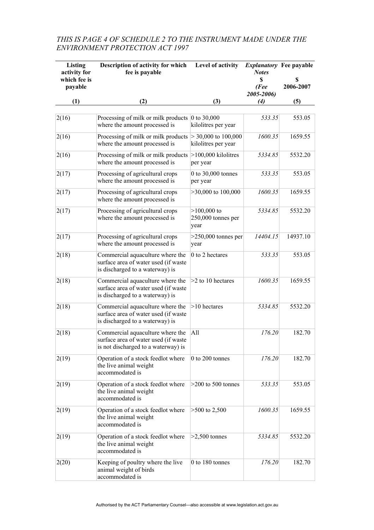## *THIS IS PAGE 4 OF SCHEDULE 2 TO THE INSTRUMENT MADE UNDER THE ENVIRONMENT PROTECTION ACT 1997*

| Listing<br>activity for<br>which fee is<br>payable | Description of activity for which<br>fee is payable                                                             | Level of activity                            | <b>Notes</b><br>S<br>(Fee<br>2005-2006) | <i>Explanatory</i> Fee payable<br>S<br>2006-2007 |
|----------------------------------------------------|-----------------------------------------------------------------------------------------------------------------|----------------------------------------------|-----------------------------------------|--------------------------------------------------|
| (1)                                                | (2)                                                                                                             | (3)                                          | $\left( 4\right)$                       | (5)                                              |
| 2(16)                                              | Processing of milk or milk products $\vert$ 0 to 30,000<br>where the amount processed is                        | kilolitres per year                          | 533.35                                  | 553.05                                           |
| 2(16)                                              | Processing of milk or milk products<br>where the amount processed is                                            | $>$ 30,000 to 100,000<br>kilolitres per year | 1600.35                                 | 1659.55                                          |
| 2(16)                                              | Processing of milk or milk products<br>where the amount processed is                                            | $>100,000$ kilolitres<br>per year            | 5334.85                                 | 5532.20                                          |
| 2(17)                                              | Processing of agricultural crops<br>where the amount processed is                                               | 0 to 30,000 tonnes<br>per year               | 533.35                                  | 553.05                                           |
| 2(17)                                              | Processing of agricultural crops<br>where the amount processed is                                               | $>30,000$ to $100,000$                       | 1600.35                                 | 1659.55                                          |
| 2(17)                                              | Processing of agricultural crops<br>where the amount processed is                                               | $>100,000$ to<br>250,000 tonnes per<br>year  | 5334.85                                 | 5532.20                                          |
| 2(17)                                              | Processing of agricultural crops<br>where the amount processed is                                               | $>250,000$ tonnes per<br>year                | 14404.15                                | 14937.10                                         |
| 2(18)                                              | Commercial aquaculture where the<br>surface area of water used (if waste<br>is discharged to a waterway) is     | 0 to 2 hectares                              | 533.35                                  | 553.05                                           |
| 2(18)                                              | Commercial aquaculture where the<br>surface area of water used (if waste<br>is discharged to a waterway) is     | >2 to 10 hectares                            | 1600.35                                 | 1659.55                                          |
| 2(18)                                              | Commercial aquaculture where the<br>surface area of water used (if waste<br>is discharged to a waterway) is     | $>10$ hectares                               | 5334.85                                 | 5532.20                                          |
| 2(18)                                              | Commercial aquaculture where the<br>surface area of water used (if waste<br>is not discharged to a waterway) is | All                                          | 176.20                                  | 182.70                                           |
| 2(19)                                              | Operation of a stock feedlot where<br>the live animal weight<br>accommodated is                                 | 0 to 200 tonnes                              | 176.20                                  | 182.70                                           |
| 2(19)                                              | Operation of a stock feedlot where<br>the live animal weight<br>accommodated is                                 | $>200$ to 500 tonnes                         | 533.35                                  | 553.05                                           |
| 2(19)                                              | Operation of a stock feedlot where<br>the live animal weight<br>accommodated is                                 | $>500$ to 2,500                              | 1600.35                                 | 1659.55                                          |
| 2(19)                                              | Operation of a stock feedlot where<br>the live animal weight<br>accommodated is                                 | $>2,500$ tonnes                              | 5334.85                                 | 5532.20                                          |
| 2(20)                                              | Keeping of poultry where the live<br>animal weight of birds<br>accommodated is                                  | 0 to 180 tonnes                              | 176.20                                  | 182.70                                           |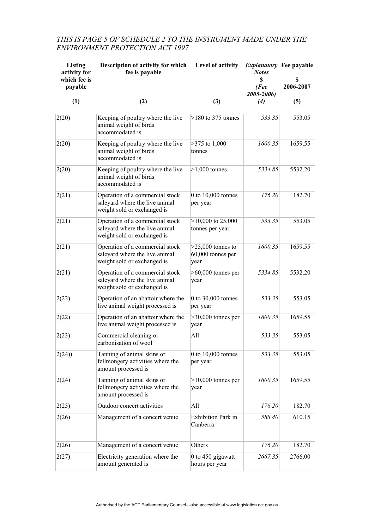## *THIS IS PAGE 5 OF SCHEDULE 2 TO THE INSTRUMENT MADE UNDER THE ENVIRONMENT PROTECTION ACT 1997*

| Listing<br>activity for<br>which fee is<br>payable | Description of activity for which<br>fee is payable                                              | Level of activity                                | <i>Explanatory</i> Fee payable<br><b>Notes</b><br>\$<br>(Fee<br>2005-2006) | S<br>2006-2007 |
|----------------------------------------------------|--------------------------------------------------------------------------------------------------|--------------------------------------------------|----------------------------------------------------------------------------|----------------|
| (1)                                                | (2)                                                                                              | (3)                                              | (4)                                                                        | (5)            |
| 2(20)                                              | Keeping of poultry where the live<br>animal weight of birds<br>accommodated is                   | $>180$ to 375 tonnes                             | 533.35                                                                     | 553.05         |
| 2(20)                                              | Keeping of poultry where the live<br>animal weight of birds<br>accommodated is                   | $>375$ to 1,000<br>tonnes                        | 1600.35                                                                    | 1659.55        |
| 2(20)                                              | Keeping of poultry where the live<br>animal weight of birds<br>accommodated is                   | $>1,000$ tonnes                                  | 5334.85                                                                    | 5532.20        |
| 2(21)                                              | Operation of a commercial stock<br>saleyard where the live animal<br>weight sold or exchanged is | 0 to 10,000 tonnes<br>per year                   | 176.20                                                                     | 182.70         |
| 2(21)                                              | Operation of a commercial stock<br>saleyard where the live animal<br>weight sold or exchanged is | $>10,000$ to 25,000<br>tonnes per year           | 533.35                                                                     | 553.05         |
| 2(21)                                              | Operation of a commercial stock<br>saleyard where the live animal<br>weight sold or exchanged is | $>25,000$ tonnes to<br>60,000 tonnes per<br>year | 1600.35                                                                    | 1659.55        |
| 2(21)                                              | Operation of a commercial stock<br>saleyard where the live animal<br>weight sold or exchanged is | $>60,000$ tonnes per<br>year                     | 5334.85                                                                    | 5532.20        |
| 2(22)                                              | Operation of an abattoir where the<br>live animal weight processed is                            | 0 to 30,000 tonnes<br>per year                   | 533.35                                                                     | 553.05         |
| 2(22)                                              | Operation of an abattoir where the<br>live animal weight processed is                            | $>30,000$ tonnes per<br>year                     | 1600.35                                                                    | 1659.55        |
| 2(23)                                              | Commercial cleaning or<br>carbonisation of wool                                                  | All                                              | 533.35                                                                     | 553.05         |
| 2(24)                                              | Tanning of animal skins or<br>fellmongery activities where the<br>amount processed is            | 0 to 10,000 tonnes<br>per year                   | 533.35                                                                     | 553.05         |
| 2(24)                                              | Tanning of animal skins or<br>fellmongery activities where the<br>amount processed is            | $>10,000$ tonnes per<br>year                     | 1600.35                                                                    | 1659.55        |
| 2(25)                                              | Outdoor concert activities                                                                       | All                                              | 176.20                                                                     | 182.70         |
| 2(26)                                              | Management of a concert venue                                                                    | <b>Exhibition Park in</b><br>Canberra            | 588.40                                                                     | 610.15         |
| 2(26)                                              | Management of a concert venue                                                                    | Others                                           | 176.20                                                                     | 182.70         |
| 2(27)                                              | Electricity generation where the<br>amount generated is                                          | 0 to 450 gigawatt<br>hours per year              | 2667.35                                                                    | 2766.00        |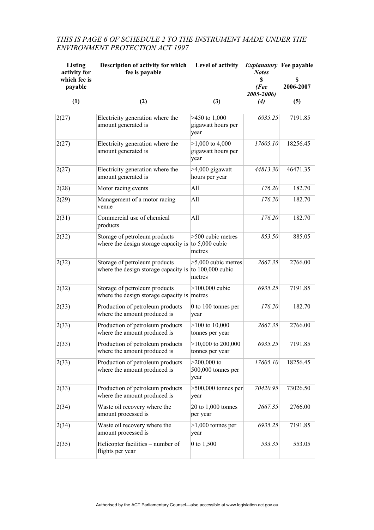## *THIS IS PAGE 6 OF SCHEDULE 2 TO THE INSTRUMENT MADE UNDER THE ENVIRONMENT PROTECTION ACT 1997*

| Listing<br>activity for<br>which fee is<br>payable | Description of activity for which<br>fee is payable                                          | Level of activity                                   | <b>Explanatory</b> Fee payable<br><b>Notes</b><br>S<br>(Fee<br>2005-2006) | S<br>2006-2007 |
|----------------------------------------------------|----------------------------------------------------------------------------------------------|-----------------------------------------------------|---------------------------------------------------------------------------|----------------|
| (1)                                                | (2)                                                                                          | (3)                                                 | (4)                                                                       | (5)            |
|                                                    |                                                                                              |                                                     |                                                                           |                |
| 2(27)                                              | Electricity generation where the<br>amount generated is                                      | $>450$ to 1,000<br>gigawatt hours per<br>year       | 6935.25                                                                   | 7191.85        |
| 2(27)                                              | Electricity generation where the<br>amount generated is                                      | $>1,000$ to 4,000<br>gigawatt hours per<br>year     | 17605.10                                                                  | 18256.45       |
| 2(27)                                              | Electricity generation where the<br>amount generated is                                      | >4,000 gigawatt<br>hours per year                   | 44813.30                                                                  | 46471.35       |
| 2(28)                                              | Motor racing events                                                                          | All                                                 | 176.20                                                                    | 182.70         |
| 2(29)                                              | Management of a motor racing<br>venue                                                        | All                                                 | 176.20                                                                    | 182.70         |
| 2(31)                                              | Commercial use of chemical<br>products                                                       | All                                                 | 176.20                                                                    | 182.70         |
| 2(32)                                              | Storage of petroleum products<br>where the design storage capacity is $\vert$ to 5,000 cubic | >500 cubic metres<br>metres                         | 853.50                                                                    | 885.05         |
| 2(32)                                              | Storage of petroleum products<br>where the design storage capacity is                        | $>5,000$ cubic metres<br>to 100,000 cubic<br>metres | 2667.35                                                                   | 2766.00        |
| 2(32)                                              | Storage of petroleum products<br>where the design storage capacity is metres                 | $>100,000$ cubic                                    | 6935.25                                                                   | 7191.85        |
| 2(33)                                              | Production of petroleum products<br>where the amount produced is                             | 0 to 100 tonnes per<br>year                         | 176.20                                                                    | 182.70         |
| 2(33)                                              | Production of petroleum products<br>where the amount produced is                             | $>100$ to $10,000$<br>tonnes per year               | 2667.35                                                                   | 2766.00        |
| 2(33)                                              | Production of petroleum products<br>where the amount produced is                             | $>10,000$ to 200,000<br>tonnes per year             | 6935.25                                                                   | 7191.85        |
| 2(33)                                              | Production of petroleum products<br>where the amount produced is                             | $>200,000$ to<br>500,000 tonnes per<br>year         | 17605.10                                                                  | 18256.45       |
| 2(33)                                              | Production of petroleum products<br>where the amount produced is                             | $>500,000$ tonnes per<br>year                       | 70420.95                                                                  | 73026.50       |
| 2(34)                                              | Waste oil recovery where the<br>amount processed is                                          | 20 to 1,000 tonnes<br>per year                      | 2667.35                                                                   | 2766.00        |
| 2(34)                                              | Waste oil recovery where the<br>amount processed is                                          | $>1,000$ tonnes per<br>year                         | 6935.25                                                                   | 7191.85        |
| 2(35)                                              | Helicopter facilities – number of<br>flights per year                                        | 0 to 1,500                                          | 533.35                                                                    | 553.05         |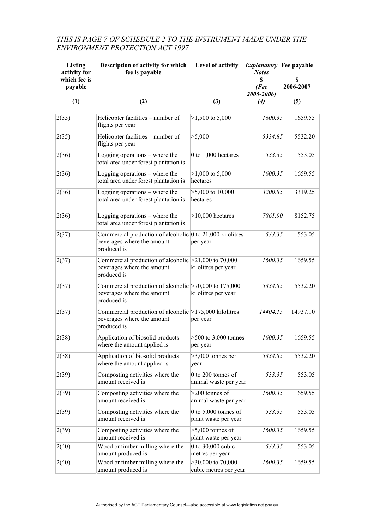## *THIS IS PAGE 7 OF SCHEDULE 2 TO THE INSTRUMENT MADE UNDER THE ENVIRONMENT PROTECTION ACT 1997*

| Listing<br>activity for<br>which fee is | Description of activity for which<br>fee is payable                                                            | Level of activity                              | <b>Explanatory</b> Fee payable<br><b>Notes</b><br>\$ | \$        |
|-----------------------------------------|----------------------------------------------------------------------------------------------------------------|------------------------------------------------|------------------------------------------------------|-----------|
| payable                                 |                                                                                                                |                                                | (Fee<br>2005-2006)                                   | 2006-2007 |
| (1)                                     | (2)                                                                                                            | (3)                                            | (4)                                                  | (5)       |
|                                         |                                                                                                                |                                                |                                                      |           |
| 2(35)                                   | Helicopter facilities – number of<br>flights per year                                                          | $>1,500$ to 5,000                              | 1600.35                                              | 1659.55   |
| 2(35)                                   | Helicopter facilities – number of<br>flights per year                                                          | >5,000                                         | 5334.85                                              | 5532.20   |
| 2(36)                                   | Logging operations – where the<br>total area under forest plantation is                                        | 0 to 1,000 hectares                            | 533.35                                               | 553.05    |
| 2(36)                                   | Logging operations - where the<br>total area under forest plantation is                                        | $>1,000$ to 5,000<br>hectares                  | 1600.35                                              | 1659.55   |
| 2(36)                                   | Logging operations – where the<br>total area under forest plantation is                                        | $>5,000$ to 10,000<br>hectares                 | 3200.85                                              | 3319.25   |
| 2(36)                                   | Logging operations – where the<br>total area under forest plantation is                                        | $>10,000$ hectares                             | 7861.90                                              | 8152.75   |
| 2(37)                                   | Commercial production of alcoholic $\vert$ 0 to 21,000 kilolitres<br>beverages where the amount<br>produced is | per year                                       | 533.35                                               | 553.05    |
| 2(37)                                   | Commercial production of alcoholic $\geq$ 21,000 to 70,000<br>beverages where the amount<br>produced is        | kilolitres per year                            | 1600.35                                              | 1659.55   |
| 2(37)                                   | Commercial production of alcoholic $\geq 70,000$ to 175,000<br>beverages where the amount<br>produced is       | kilolitres per year                            | 5334.85                                              | 5532.20   |
| 2(37)                                   | Commercial production of alcoholic $>175,000$ kilolitres<br>beverages where the amount<br>produced is          | per year                                       | 14404.15                                             | 14937.10  |
| 2(38)                                   | Application of biosolid products<br>where the amount applied is                                                | $>500$ to 3,000 tonnes<br>per year             | 1600.35                                              | 1659.55   |
| 2(38)                                   | Application of biosolid products<br>where the amount applied is                                                | $>3,000$ tonnes per<br>year                    | 5334.85                                              | 5532.20   |
| 2(39)                                   | Composting activities where the<br>amount received is                                                          | 0 to 200 tonnes of<br>animal waste per year    | 533.35                                               | 553.05    |
| 2(39)                                   | Composting activities where the<br>amount received is                                                          | $>200$ tonnes of<br>animal waste per year      | 1600.35                                              | 1659.55   |
| 2(39)                                   | Composting activities where the<br>amount received is                                                          | 0 to $5,000$ tonnes of<br>plant waste per year | 533.35                                               | 553.05    |
| 2(39)                                   | Composting activities where the<br>amount received is                                                          | $>5,000$ tonnes of<br>plant waste per year     | 1600.35                                              | 1659.55   |
| 2(40)                                   | Wood or timber milling where the<br>amount produced is                                                         | 0 to 30,000 cubic<br>metres per year           | 533.35                                               | 553.05    |
| 2(40)                                   | Wood or timber milling where the<br>amount produced is                                                         | $>30,000$ to 70,000<br>cubic metres per year   | 1600.35                                              | 1659.55   |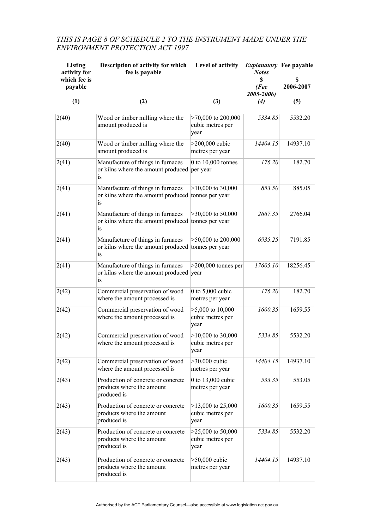#### *THIS IS PAGE 8 OF SCHEDULE 2 TO THE INSTRUMENT MADE UNDER THE ENVIRONMENT PROTECTION ACT 1997*

| Listing<br>activity for<br>which fee is<br>payable | Description of activity for which<br>fee is payable                                               | Level of activity                                | <i>Explanatory</i> Fee payable<br><b>Notes</b><br>S<br>(Fee<br>2005-2006) | S<br>2006-2007 |
|----------------------------------------------------|---------------------------------------------------------------------------------------------------|--------------------------------------------------|---------------------------------------------------------------------------|----------------|
| (1)                                                | (2)                                                                                               | (3)                                              | $\left( 4\right)$                                                         | (5)            |
| 2(40)                                              | Wood or timber milling where the<br>amount produced is                                            | $>70,000$ to 200,000<br>cubic metres per<br>year | 5334.85                                                                   | 5532.20        |
| 2(40)                                              | Wood or timber milling where the<br>amount produced is                                            | $>200,000$ cubic<br>metres per year              | 14404.15                                                                  | 14937.10       |
| 2(41)                                              | Manufacture of things in furnaces<br>or kilns where the amount produced per year<br><sub>1s</sub> | 0 to 10,000 tonnes                               | 176.20                                                                    | 182.70         |
| 2(41)                                              | Manufacture of things in furnaces<br>or kilns where the amount produced tonnes per year<br>is     | $>10,000$ to 30,000                              | 853.50                                                                    | 885.05         |
| 2(41)                                              | Manufacture of things in furnaces<br>or kilns where the amount produced tonnes per year<br>is     | $>30,000$ to 50,000                              | 2667.35                                                                   | 2766.04        |
| 2(41)                                              | Manufacture of things in furnaces<br>or kilns where the amount produced tonnes per year<br>is.    | $>50,000$ to 200,000                             | 6935.25                                                                   | 7191.85        |
| 2(41)                                              | Manufacture of things in furnaces<br>or kilns where the amount produced year<br>1S                | $>200,000$ tonnes per                            | 17605.10                                                                  | 18256.45       |
| 2(42)                                              | Commercial preservation of wood<br>where the amount processed is                                  | 0 to $5,000$ cubic<br>metres per year            | 176.20                                                                    | 182.70         |
| 2(42)                                              | Commercial preservation of wood<br>where the amount processed is                                  | $>5,000$ to 10,000<br>cubic metres per<br>year   | 1600.35                                                                   | 1659.55        |
| 2(42)                                              | Commercial preservation of wood<br>where the amount processed is                                  | $>10,000$ to 30,000<br>cubic metres per<br>year  | 5334.85                                                                   | 5532.20        |
| 2(42)                                              | Commercial preservation of wood<br>where the amount processed is                                  | >30,000 cubic<br>metres per year                 | 14404.15                                                                  | 14937.10       |
| 2(43)                                              | Production of concrete or concrete<br>products where the amount<br>produced is                    | 0 to 13,000 cubic<br>metres per year             | 533.35                                                                    | 553.05         |
| 2(43)                                              | Production of concrete or concrete<br>products where the amount<br>produced is                    | $>13,000$ to 25,000<br>cubic metres per<br>year  | 1600.35                                                                   | 1659.55        |
| 2(43)                                              | Production of concrete or concrete<br>products where the amount<br>produced is                    | $>25,000$ to 50,000<br>cubic metres per<br>year  | 5334.85                                                                   | 5532.20        |
| 2(43)                                              | Production of concrete or concrete<br>products where the amount<br>produced is                    | $>50,000$ cubic<br>metres per year               | 14404.15                                                                  | 14937.10       |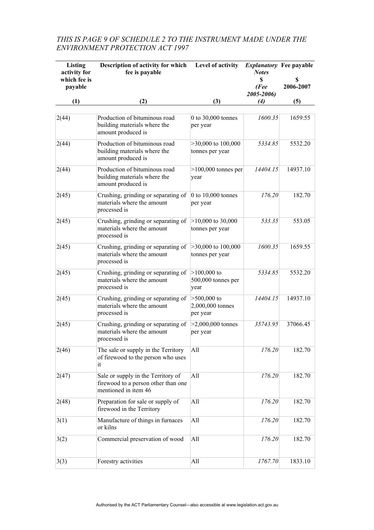#### *THIS IS PAGE 9 OF SCHEDULE 2 TO THE INSTRUMENT MADE UNDER THE ENVIRONMENT PROTECTION ACT 1997*

| Listing<br>activity for<br>which fee is<br>payable | Description of activity for which<br>fee is payable                                               | Level of activity                             | <i>Explanatory</i> Fee payable<br><b>Notes</b><br>S<br>(Fee<br>2005-2006) | S<br>2006-2007 |
|----------------------------------------------------|---------------------------------------------------------------------------------------------------|-----------------------------------------------|---------------------------------------------------------------------------|----------------|
| (1)                                                | (2)                                                                                               | (3)                                           | $\left( 4\right)$                                                         | (5)            |
|                                                    |                                                                                                   |                                               |                                                                           |                |
| 2(44)                                              | Production of bituminous road<br>building materials where the<br>amount produced is               | 0 to 30,000 tonnes<br>per year                | 1600.35                                                                   | 1659.55        |
| 2(44)                                              | Production of bituminous road<br>building materials where the<br>amount produced is               | $>30,000$ to $100,000$<br>tonnes per year     | 5334.85                                                                   | 5532.20        |
| 2(44)                                              | Production of bituminous road<br>building materials where the<br>amount produced is               | $>100,000$ tonnes per<br>year                 | 14404.15                                                                  | 14937.10       |
| 2(45)                                              | Crushing, grinding or separating of<br>materials where the amount<br>processed is                 | $0$ to $10,000$ tonnes<br>per year            | 176.20                                                                    | 182.70         |
| 2(45)                                              | Crushing, grinding or separating of<br>materials where the amount<br>processed is                 | $>10,000$ to 30,000<br>tonnes per year        | 533.35                                                                    | 553.05         |
| 2(45)                                              | Crushing, grinding or separating of<br>materials where the amount<br>processed is                 | $>30,000$ to $100,000$<br>tonnes per year     | 1600.35                                                                   | 1659.55        |
| 2(45)                                              | Crushing, grinding or separating of<br>materials where the amount<br>processed is                 | $>100,000$ to<br>500,000 tonnes per<br>year   | 5334.85                                                                   | 5532.20        |
| 2(45)                                              | Crushing, grinding or separating of<br>materials where the amount<br>processed is                 | $>500,000$ to<br>2,000,000 tonnes<br>per year | 14404.15                                                                  | 14937.10       |
| 2(45)                                              | Crushing, grinding or separating of<br>materials where the amount<br>processed is                 | $>2,000,000$ tonnes<br>per year               | 35743.95                                                                  | 37066.45       |
| 2(46)                                              | The sale or supply in the Territory<br>of firewood to the person who uses<br>it                   | All                                           | 176.20                                                                    | 182.70         |
| 2(47)                                              | Sale or supply in the Territory of<br>firewood to a person other than one<br>mentioned in item 46 | All                                           | 176.20                                                                    | 182.70         |
| 2(48)                                              | Preparation for sale or supply of<br>firewood in the Territory                                    | All                                           | 176.20                                                                    | 182.70         |
| 3(1)                                               | Manufacture of things in furnaces<br>or kilns                                                     | All                                           | 176.20                                                                    | 182.70         |
| 3(2)                                               | Commercial preservation of wood                                                                   | All                                           | 176.20                                                                    | 182.70         |
| 3(3)                                               | Forestry activities                                                                               | All                                           | 1767.70                                                                   | 1833.10        |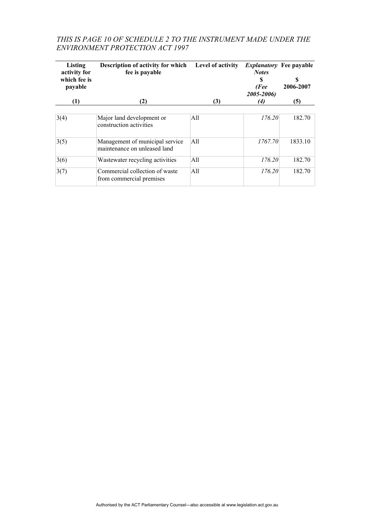## *THIS IS PAGE 10 OF SCHEDULE 2 TO THE INSTRUMENT MADE UNDER THE ENVIRONMENT PROTECTION ACT 1997*

| Listing<br>activity for<br>which fee is<br>payable | <b>Description of activity for which</b><br>fee is payable       | Level of activity | <b>Notes</b><br>S<br>(Fee | <i>Explanatory</i> Fee payable<br>S<br>2006-2007 |
|----------------------------------------------------|------------------------------------------------------------------|-------------------|---------------------------|--------------------------------------------------|
| (1)                                                | (2)                                                              | (3)               | 2005-2006)<br>(4)         | (5)                                              |
| 3(4)                                               | Major land development or<br>construction activities             | All               | 176.20                    | 182.70                                           |
| 3(5)                                               | Management of municipal service.<br>maintenance on unleased land | A11               | 1767.70                   | 1833.10                                          |
| 3(6)                                               | Wastewater recycling activities                                  | All               | 176.20                    | 182.70                                           |
| 3(7)                                               | Commercial collection of waste<br>from commercial premises       | A11               | 176.20                    | 182.70                                           |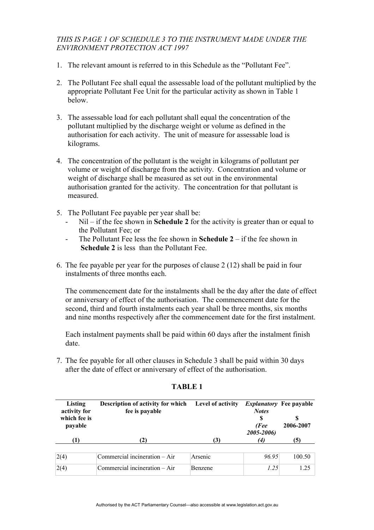#### *THIS IS PAGE 1 OF SCHEDULE 3 TO THE INSTRUMENT MADE UNDER THE ENVIRONMENT PROTECTION ACT 1997*

- 1. The relevant amount is referred to in this Schedule as the "Pollutant Fee".
- 2. The Pollutant Fee shall equal the assessable load of the pollutant multiplied by the appropriate Pollutant Fee Unit for the particular activity as shown in Table 1 below.
- 3. The assessable load for each pollutant shall equal the concentration of the pollutant multiplied by the discharge weight or volume as defined in the authorisation for each activity. The unit of measure for assessable load is kilograms.
- 4. The concentration of the pollutant is the weight in kilograms of pollutant per volume or weight of discharge from the activity. Concentration and volume or weight of discharge shall be measured as set out in the environmental authorisation granted for the activity. The concentration for that pollutant is measured.
- 5. The Pollutant Fee payable per year shall be:
	- Nil if the fee shown in **Schedule 2** for the activity is greater than or equal to the Pollutant Fee; or
	- The Pollutant Fee less the fee shown in **Schedule 2** if the fee shown in  **Schedule 2** is less than the Pollutant Fee.
- 6. The fee payable per year for the purposes of clause 2 (12) shall be paid in four instalments of three months each.

The commencement date for the instalments shall be the day after the date of effect or anniversary of effect of the authorisation. The commencement date for the second, third and fourth instalments each year shall be three months, six months and nine months respectively after the commencement date for the first instalment.

Each instalment payments shall be paid within 60 days after the instalment finish date.

7. The fee payable for all other clauses in Schedule 3 shall be paid within 30 days after the date of effect or anniversary of effect of the authorisation.

| Listing<br>activity for<br>which fee is<br>payable | <b>Description of activity for which</b><br>fee is payable | Level of activity | <b>Notes</b><br>(Fee<br>2005-2006) | <i>Explanatory</i> Fee payable<br>2006-2007 |
|----------------------------------------------------|------------------------------------------------------------|-------------------|------------------------------------|---------------------------------------------|
| (1)                                                | 2)                                                         | (3)               | (4)                                | (5)                                         |
| 2(4)                                               | Commercial incineration – Air                              | Arsenic           | 96.95                              | 100.50                                      |
| 2(4)                                               | Commercial incineration – Air                              | <b>Benzene</b>    | 1.25                               | 1.25                                        |

#### **TABLE 1**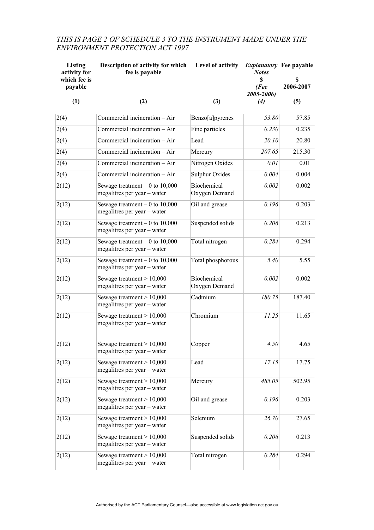| Listing<br>activity for<br>which fee is<br>payable | Description of activity for which<br>fee is payable            | Level of activity            | <b>Notes</b><br>S<br>(Fee<br>2005-2006) | <i>Explanatory</i> Fee payable<br>S<br>2006-2007 |
|----------------------------------------------------|----------------------------------------------------------------|------------------------------|-----------------------------------------|--------------------------------------------------|
| (1)                                                | (2)                                                            | (3)                          | (4)                                     | (5)                                              |
| 2(4)                                               | Commercial incineration - Air                                  | Benzo[a]pyrenes              | 53.80                                   | 57.85                                            |
| 2(4)                                               | Commercial incineration - Air                                  | Fine particles               | 0.230                                   | 0.235                                            |
| 2(4)                                               | Commercial incineration - Air                                  | Lead                         | 20.10                                   | 20.80                                            |
| 2(4)                                               | Commercial incineration - Air                                  | Mercury                      | 207.65                                  | 215.30                                           |
| 2(4)                                               | Commercial incineration - Air                                  | Nitrogen Oxides              | 0.01                                    | 0.01                                             |
| 2(4)                                               | Commercial incineration - Air                                  | Sulphur Oxides               | 0.004                                   | 0.004                                            |
| 2(12)                                              | Sewage treatment $-0$ to 10,000<br>megalitres per year - water | Biochemical<br>Oxygen Demand | 0.002                                   | 0.002                                            |
| 2(12)                                              | Sewage treatment $-0$ to 10,000<br>megalitres per year - water | Oil and grease               | 0.196                                   | 0.203                                            |
| 2(12)                                              | Sewage treatment $-0$ to 10,000<br>megalitres per year - water | Suspended solids             | 0.206                                   | 0.213                                            |
| 2(12)                                              | Sewage treatment $-0$ to 10,000<br>megalitres per year - water | Total nitrogen               | 0.284                                   | 0.294                                            |
| 2(12)                                              | Sewage treatment $-0$ to 10,000<br>megalitres per year - water | Total phosphorous            | 5.40                                    | 5.55                                             |
| 2(12)                                              | Sewage treatment $> 10,000$<br>megalitres per year - water     | Biochemical<br>Oxygen Demand | 0.002                                   | 0.002                                            |
| 2(12)                                              | Sewage treatment $> 10,000$<br>megalitres per year – water     | Cadmium                      | 180.75                                  | 187.40                                           |
| 2(12)                                              | Sewage treatment $> 10,000$<br>megalitres per year – water     | Chromium                     | 11.25                                   | 11.65                                            |
| 2(12)                                              | Sewage treatment > 10,000<br>megalitres per year - water       | Copper                       | 4.50                                    | 4.65                                             |
| 2(12)                                              | Sewage treatment $> 10,000$<br>megalitres per year - water     | Lead                         | 17.15                                   | 17.75                                            |
| 2(12)                                              | Sewage treatment $> 10,000$<br>megalitres per year - water     | Mercury                      | 485.05                                  | 502.95                                           |
| 2(12)                                              | Sewage treatment $> 10,000$<br>megalitres per year – water     | Oil and grease               | 0.196                                   | 0.203                                            |
| 2(12)                                              | Sewage treatment $> 10,000$<br>megalitres per year - water     | Selenium                     | 26.70                                   | 27.65                                            |
| 2(12)                                              | Sewage treatment $> 10,000$<br>megalitres per year – water     | Suspended solids             | 0.206                                   | 0.213                                            |
| 2(12)                                              | Sewage treatment $> 10,000$<br>megalitres per year - water     | Total nitrogen               | 0.284                                   | 0.294                                            |

## *THIS IS PAGE 2 OF SCHEDULE 3 TO THE INSTRUMENT MADE UNDER THE ENVIRONMENT PROTECTION ACT 1997*